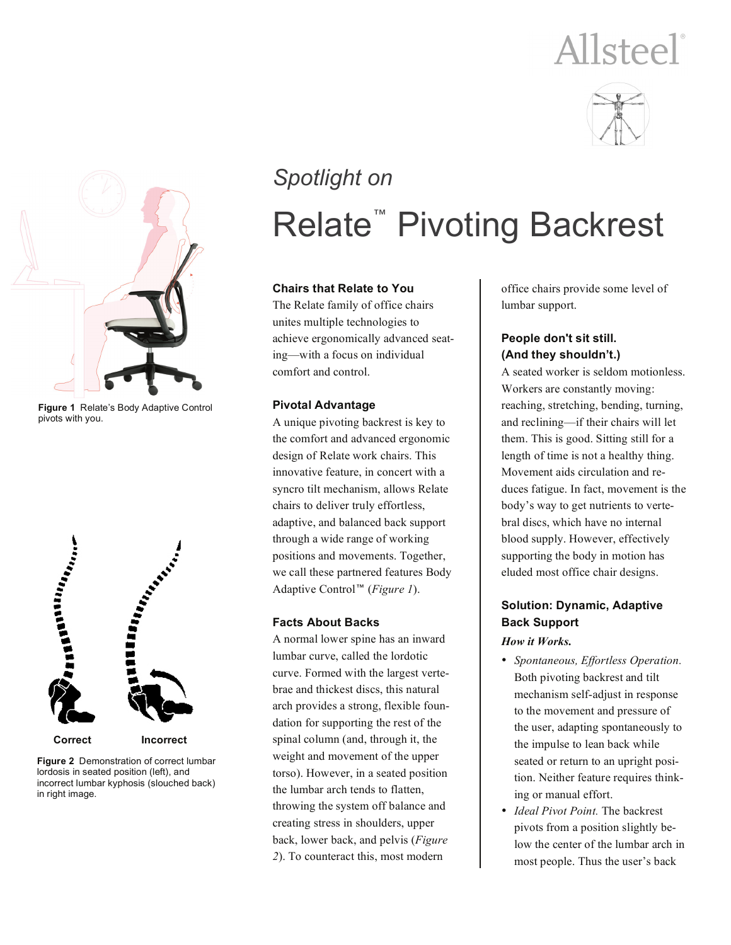# Allsteel®





**Figure 1** Relate's Body Adaptive Control pivots with you.



**Figure 2** Demonstration of correct lumbar lordosis in seated position (left), and incorrect lumbar kyphosis (slouched back) in right image.

## *Spotlight on* **Relate<sup>™</sup> Pivoting Backrest**

#### **Chairs that Relate to You**

The Relate family of office chairs unites multiple technologies to achieve ergonomically advanced seating—with a focus on individual comfort and control.

#### **Pivotal Advantage**

A unique pivoting backrest is key to the comfort and advanced ergonomic design of Relate work chairs. This innovative feature, in concert with a syncro tilt mechanism, allows Relate chairs to deliver truly effortless, adaptive, and balanced back support through a wide range of working positions and movements. Together, we call these partnered features Body Adaptive Control<sup>™</sup> (*Figure 1*).

#### **Facts About Backs**

A normal lower spine has an inward lumbar curve, called the lordotic curve. Formed with the largest vertebrae and thickest discs, this natural arch provides a strong, flexible foundation for supporting the rest of the spinal column (and, through it, the weight and movement of the upper torso). However, in a seated position the lumbar arch tends to flatten, throwing the system off balance and creating stress in shoulders, upper back, lower back, and pelvis (*Figure 2*). To counteract this, most modern

office chairs provide some level of lumbar support.

#### **People don't sit still. (And they shouldn't.)**

A seated worker is seldom motionless. Workers are constantly moving: reaching, stretching, bending, turning, and reclining—if their chairs will let them. This is good. Sitting still for a length of time is not a healthy thing. Movement aids circulation and reduces fatigue. In fact, movement is the body's way to get nutrients to vertebral discs, which have no internal blood supply. However, effectively supporting the body in motion has eluded most office chair designs.

#### **Solution: Dynamic, Adaptive Back Support**  *How it Works.*

- *Spontaneous, Effortless Operation.* Both pivoting backrest and tilt mechanism self-adjust in response to the movement and pressure of the user, adapting spontaneously to the impulse to lean back while seated or return to an upright position. Neither feature requires thinking or manual effort.
- *Ideal Pivot Point.* The backrest pivots from a position slightly below the center of the lumbar arch in most people. Thus the user's back